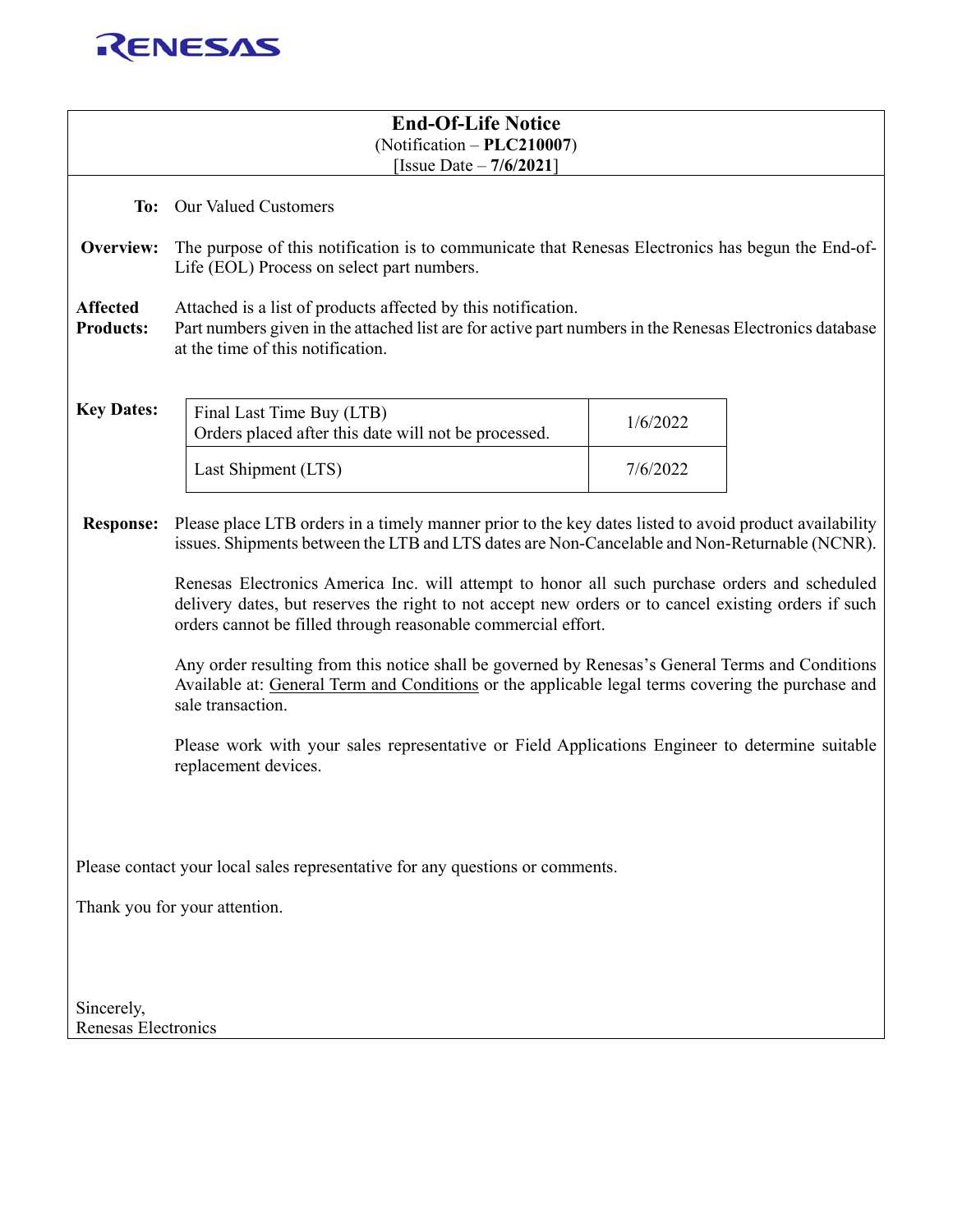

| <b>End-Of-Life Notice</b><br>$(Notification - PLC210007)$<br>[Issue Date $-7/6/2021$ ]                                  |                                                                                                                                                                                                                                                                        |          |  |  |
|-------------------------------------------------------------------------------------------------------------------------|------------------------------------------------------------------------------------------------------------------------------------------------------------------------------------------------------------------------------------------------------------------------|----------|--|--|
|                                                                                                                         | To: Our Valued Customers                                                                                                                                                                                                                                               |          |  |  |
| Overview:                                                                                                               | The purpose of this notification is to communicate that Renesas Electronics has begun the End-of-<br>Life (EOL) Process on select part numbers.                                                                                                                        |          |  |  |
| <b>Affected</b><br><b>Products:</b>                                                                                     | Attached is a list of products affected by this notification.<br>Part numbers given in the attached list are for active part numbers in the Renesas Electronics database<br>at the time of this notification.                                                          |          |  |  |
| <b>Key Dates:</b>                                                                                                       | Final Last Time Buy (LTB)<br>Orders placed after this date will not be processed.                                                                                                                                                                                      | 1/6/2022 |  |  |
|                                                                                                                         | Last Shipment (LTS)                                                                                                                                                                                                                                                    | 7/6/2022 |  |  |
| <b>Response:</b>                                                                                                        | Please place LTB orders in a timely manner prior to the key dates listed to avoid product availability<br>issues. Shipments between the LTB and LTS dates are Non-Cancelable and Non-Returnable (NCNR).                                                                |          |  |  |
|                                                                                                                         | Renesas Electronics America Inc. will attempt to honor all such purchase orders and scheduled<br>delivery dates, but reserves the right to not accept new orders or to cancel existing orders if such<br>orders cannot be filled through reasonable commercial effort. |          |  |  |
|                                                                                                                         | Any order resulting from this notice shall be governed by Renesas's General Terms and Conditions<br>Available at: General Term and Conditions or the applicable legal terms covering the purchase and<br>sale transaction.                                             |          |  |  |
| Please work with your sales representative or Field Applications Engineer to determine suitable<br>replacement devices. |                                                                                                                                                                                                                                                                        |          |  |  |
|                                                                                                                         |                                                                                                                                                                                                                                                                        |          |  |  |
| Please contact your local sales representative for any questions or comments.                                           |                                                                                                                                                                                                                                                                        |          |  |  |
| Thank you for your attention.                                                                                           |                                                                                                                                                                                                                                                                        |          |  |  |
|                                                                                                                         |                                                                                                                                                                                                                                                                        |          |  |  |
| Sincerely,<br>Renesas Electronics                                                                                       |                                                                                                                                                                                                                                                                        |          |  |  |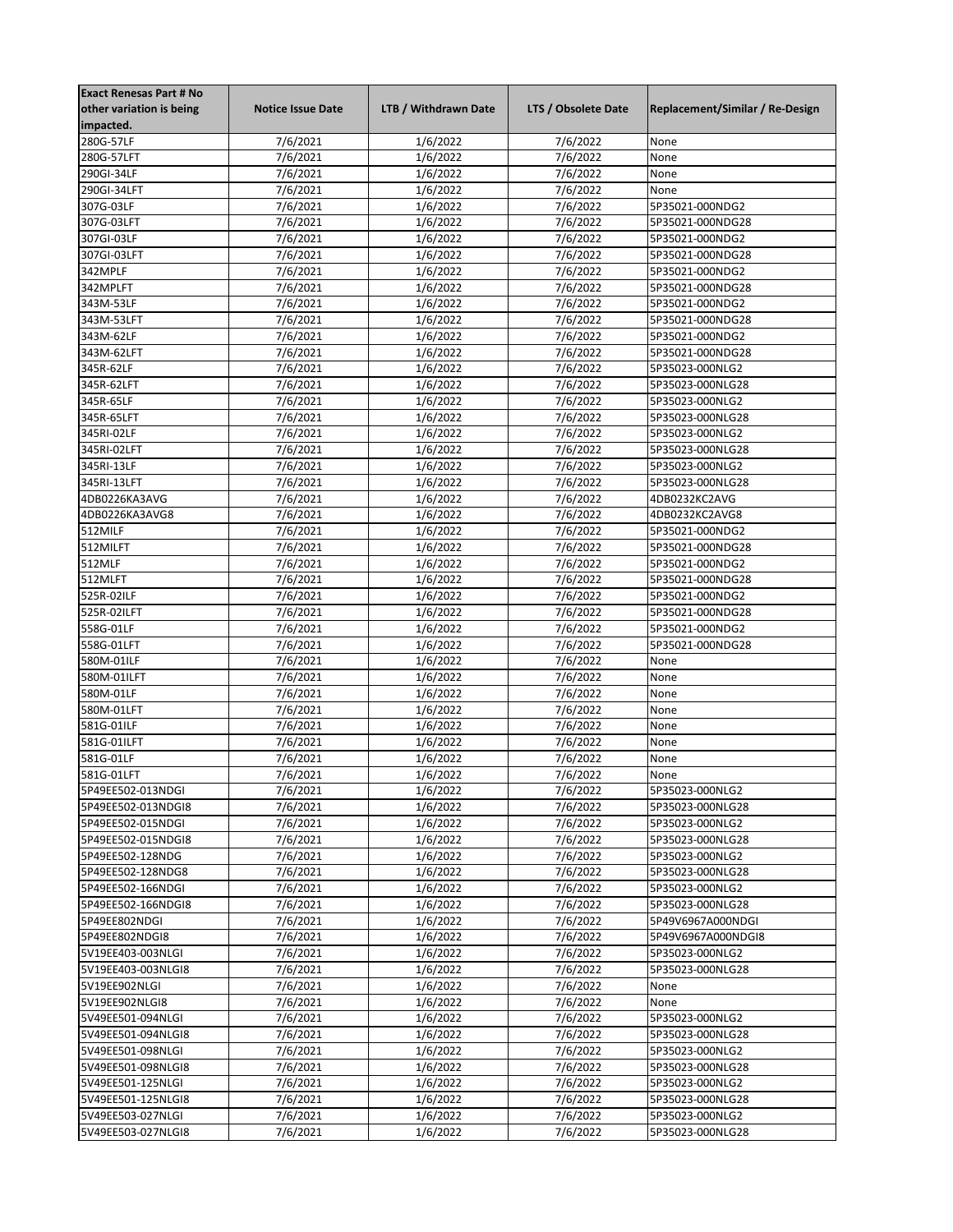| <b>Exact Renesas Part # No</b> |                          |                      |                      |                                 |
|--------------------------------|--------------------------|----------------------|----------------------|---------------------------------|
| other variation is being       | <b>Notice Issue Date</b> | LTB / Withdrawn Date | LTS / Obsolete Date  | Replacement/Similar / Re-Design |
| impacted.                      |                          |                      |                      |                                 |
| 280G-57LF                      | 7/6/2021                 | 1/6/2022             | 7/6/2022             | None                            |
| 280G-57LFT                     | 7/6/2021                 | 1/6/2022             | 7/6/2022             | None                            |
| 290GI-34LF                     | 7/6/2021                 | 1/6/2022             | 7/6/2022             | None                            |
| 290GI-34LFT                    | 7/6/2021                 | 1/6/2022             | 7/6/2022             | None                            |
| 307G-03LF                      | 7/6/2021                 | 1/6/2022             | 7/6/2022             | 5P35021-000NDG2                 |
| 307G-03LFT                     | 7/6/2021                 | 1/6/2022             | 7/6/2022             | 5P35021-000NDG28                |
| 307GI-03LF                     | $\frac{1}{7}{6}/2021$    | 1/6/2022             | 7/6/2022             | 5P35021-000NDG2                 |
| 307GI-03LFT                    | 7/6/2021                 | 1/6/2022             | 7/6/2022             | 5P35021-000NDG28                |
| 342MPLF                        |                          |                      |                      |                                 |
|                                | 7/6/2021                 | 1/6/2022             | $\frac{1}{7}$ 6/2022 | 5P35021-000NDG2                 |
| 342MPLFT                       | 7/6/2021                 | 1/6/2022             | 7/6/2022             | 5P35021-000NDG28                |
| 343M-53LF                      | 7/6/2021                 | 1/6/2022             | 7/6/2022             | 5P35021-000NDG2                 |
| 343M-53LFT                     | 7/6/2021                 | 1/6/2022             | 7/6/2022             | 5P35021-000NDG28                |
| 343M-62LF                      | 7/6/2021                 | 1/6/2022             | 7/6/2022             | 5P35021-000NDG2                 |
| 343M-62LFT                     | 7/6/2021                 | 1/6/2022             | 7/6/2022             | 5P35021-000NDG28                |
| 345R-62LF                      | $\frac{1}{7}{6}/2021$    | 1/6/2022             | 7/6/2022             | 5P35023-000NLG2                 |
| 345R-62LFT                     | 7/6/2021                 | 1/6/2022             | 7/6/2022             | 5P35023-000NLG28                |
| 345R-65LF                      | 7/6/2021                 | 1/6/2022             | 7/6/2022             | 5P35023-000NLG2                 |
| 345R-65LFT                     | 7/6/2021                 | 1/6/2022             | 7/6/2022             | 5P35023-000NLG28                |
| 345RI-02LF                     | 7/6/2021                 | 1/6/2022             | 7/6/2022             | 5P35023-000NLG2                 |
| 345RI-02LFT                    | 7/6/2021                 | 1/6/2022             | 7/6/2022             | 5P35023-000NLG28                |
| 345RI-13LF                     | 7/6/2021                 | 1/6/2022             | 7/6/2022             | 5P35023-000NLG2                 |
| 345RI-13LFT                    | 7/6/2021                 | 1/6/2022             | 7/6/2022             | 5P35023-000NLG28                |
| 4DB0226KA3AVG                  | 7/6/2021                 | 1/6/2022             | 7/6/2022             | 4DB0232KC2AVG                   |
|                                |                          |                      |                      |                                 |
| 4DB0226KA3AVG8                 | 7/6/2021                 | 1/6/2022             | 7/6/2022             | 4DB0232KC2AVG8                  |
| 512MILF                        | 7/6/2021                 | 1/6/2022             | 7/6/2022             | 5P35021-000NDG2                 |
| 512MILFT                       | 7/6/2021                 | 1/6/2022             | 7/6/2022             | 5P35021-000NDG28                |
| 512MLF                         | 7/6/2021                 | 1/6/2022             | 7/6/2022             | 5P35021-000NDG2                 |
| 512MLFT                        | 7/6/2021                 | 1/6/2022             | 7/6/2022             | 5P35021-000NDG28                |
| 525R-02ILF                     | 7/6/2021                 | 1/6/2022             | 7/6/2022             | 5P35021-000NDG2                 |
| 525R-02ILFT                    | 7/6/2021                 | 1/6/2022             | 7/6/2022             | 5P35021-000NDG28                |
| 558G-01LF                      | 7/6/2021                 | 1/6/2022             | 7/6/2022             | 5P35021-000NDG2                 |
| 558G-01LFT                     | 7/6/2021                 | 1/6/2022             | 7/6/2022             | 5P35021-000NDG28                |
| 580M-01ILF                     | 7/6/2021                 | 1/6/2022             | 7/6/2022             | None                            |
| 580M-01ILFT                    | $\frac{1}{7}{6}/2021$    | 1/6/2022             | 7/6/2022             | None                            |
| 580M-01LF                      | 7/6/2021                 | 1/6/2022             | 7/6/2022             | None                            |
| 580M-01LFT                     | 7/6/2021                 | 1/6/2022             | 7/6/2022             | None                            |
| 581G-01ILF                     | 7/6/2021                 | 1/6/2022             | 7/6/2022             | None                            |
| 581G-01ILFT                    | 7/6/2021                 | 1/6/2022             | 7/6/2022             | None                            |
| 581G-01LF                      | 7/6/2021                 | 1/6/2022             | 7/6/2022             | None                            |
|                                |                          |                      |                      |                                 |
| 581G-01LFT                     | 7/6/2021                 | 1/6/2022             | 7/6/2022             | None                            |
| 5P49EE502-013NDGI              | 7/6/2021                 | 1/6/2022             | 7/6/2022             | 5P35023-000NLG2                 |
| 5P49EE502-013NDGI8             | 7/6/2021                 | 1/6/2022             | 7/6/2022             | 5P35023-000NLG28                |
| 5P49EE502-015NDGI              | 7/6/2021                 | 1/6/2022             | 7/6/2022             | 5P35023-000NLG2                 |
| 5P49EE502-015NDGI8             | 7/6/2021                 | 1/6/2022             | 7/6/2022             | 5P35023-000NLG28                |
| 5P49EE502-128NDG               | 7/6/2021                 | 1/6/2022             | 7/6/2022             | 5P35023-000NLG2                 |
| 5P49EE502-128NDG8              | 7/6/2021                 | 1/6/2022             | 7/6/2022             | 5P35023-000NLG28                |
| 5P49EE502-166NDGI              | 7/6/2021                 | 1/6/2022             | 7/6/2022             | 5P35023-000NLG2                 |
| 5P49EE502-166NDGI8             | 7/6/2021                 | 1/6/2022             | 7/6/2022             | 5P35023-000NLG28                |
| 5P49EE802NDGI                  | 7/6/2021                 | 1/6/2022             | 7/6/2022             | 5P49V6967A000NDGI               |
| 5P49EE802NDGI8                 | 7/6/2021                 | 1/6/2022             | 7/6/2022             | 5P49V6967A000NDGI8              |
| 5V19EE403-003NLGI              | 7/6/2021                 | 1/6/2022             | 7/6/2022             | 5P35023-000NLG2                 |
| 5V19EE403-003NLGI8             | 7/6/2021                 | 1/6/2022             | 7/6/2022             | 5P35023-000NLG28                |
| 5V19EE902NLGI                  | 7/6/2021                 | 1/6/2022             | 7/6/2022             | None                            |
| 5V19EE902NLGI8                 | 7/6/2021                 | 1/6/2022             | 7/6/2022             | None                            |
|                                | 7/6/2021                 | 1/6/2022             | 7/6/2022             | 5P35023-000NLG2                 |
| 5V49EE501-094NLGI              |                          |                      |                      |                                 |
| 5V49EE501-094NLGI8             | 7/6/2021                 | 1/6/2022             | 7/6/2022             | 5P35023-000NLG28                |
| 5V49EE501-098NLGI              | 7/6/2021                 | 1/6/2022             | 7/6/2022             | 5P35023-000NLG2                 |
| 5V49EE501-098NLGI8             | 7/6/2021                 | 1/6/2022             | 7/6/2022             | 5P35023-000NLG28                |
| 5V49EE501-125NLGI              | 7/6/2021                 | 1/6/2022             | 7/6/2022             | 5P35023-000NLG2                 |
| 5V49EE501-125NLGI8             | 7/6/2021                 | 1/6/2022             | 7/6/2022             | 5P35023-000NLG28                |
| 5V49EE503-027NLGI              | 7/6/2021                 | 1/6/2022             | 7/6/2022             | 5P35023-000NLG2                 |
| 5V49EE503-027NLGI8             | 7/6/2021                 | 1/6/2022             | 7/6/2022             | 5P35023-000NLG28                |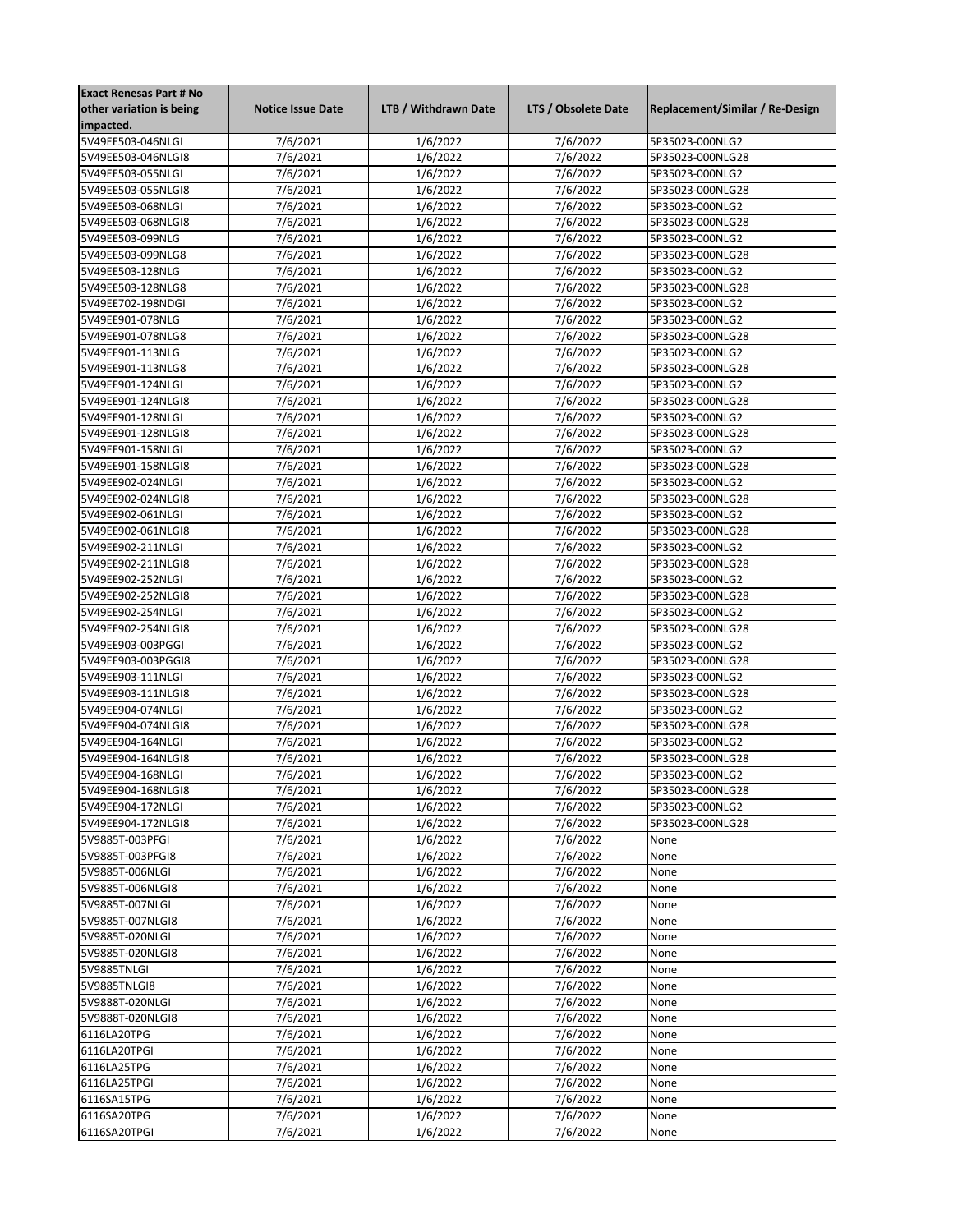| <b>Exact Renesas Part # No</b> |                          |                      |                     |                                 |
|--------------------------------|--------------------------|----------------------|---------------------|---------------------------------|
| other variation is being       | <b>Notice Issue Date</b> | LTB / Withdrawn Date | LTS / Obsolete Date | Replacement/Similar / Re-Design |
| impacted.                      |                          |                      |                     |                                 |
| 5V49EE503-046NLGI              | 7/6/2021                 | 1/6/2022             | 7/6/2022            | 5P35023-000NLG2                 |
| 5V49EE503-046NLGI8             | 7/6/2021                 | 1/6/2022             | 7/6/2022            | 5P35023-000NLG28                |
| 5V49EE503-055NLGI              | 7/6/2021                 | 1/6/2022             | 7/6/2022            | 5P35023-000NLG2                 |
| 5V49EE503-055NLGI8             | 7/6/2021                 | 1/6/2022             | 7/6/2022            | 5P35023-000NLG28                |
| 5V49EE503-068NLGI              | 7/6/2021                 | 1/6/2022             | 7/6/2022            | 5P35023-000NLG2                 |
| 5V49EE503-068NLGI8             | 7/6/2021                 | 1/6/2022             | 7/6/2022            | 5P35023-000NLG28                |
| 5V49EE503-099NLG               | 7/6/2021                 | 1/6/2022             | 7/6/2022            | 5P35023-000NLG2                 |
| 5V49EE503-099NLG8              | 7/6/2021                 |                      | 7/6/2022            | 5P35023-000NLG28                |
| 5V49EE503-128NLG               |                          | 1/6/2022             | 7/6/2022            |                                 |
|                                | 7/6/2021                 | 1/6/2022             |                     | 5P35023-000NLG2                 |
| 5V49EE503-128NLG8              | 7/6/2021                 | 1/6/2022             | 7/6/2022            | 5P35023-000NLG28                |
| 5V49EE702-198NDGI              | 7/6/2021                 | 1/6/2022             | 7/6/2022            | 5P35023-000NLG2                 |
| 5V49EE901-078NLG               | 7/6/2021                 | 1/6/2022             | 7/6/2022            | 5P35023-000NLG2                 |
| 5V49EE901-078NLG8              | 7/6/2021                 | 1/6/2022             | 7/6/2022            | 5P35023-000NLG28                |
| 5V49EE901-113NLG               | 7/6/2021                 | 1/6/2022             | 7/6/2022            | 5P35023-000NLG2                 |
| 5V49EE901-113NLG8              | 7/6/2021                 | 1/6/2022             | 7/6/2022            | 5P35023-000NLG28                |
| 5V49EE901-124NLGI              | 7/6/2021                 | 1/6/2022             | 7/6/2022            | 5P35023-000NLG2                 |
| 5V49EE901-124NLGI8             | 7/6/2021                 | 1/6/2022             | 7/6/2022            | 5P35023-000NLG28                |
| 5V49EE901-128NLGI              | 7/6/2021                 | 1/6/2022             | 7/6/2022            | 5P35023-000NLG2                 |
| 5V49EE901-128NLGI8             | 7/6/2021                 | 1/6/2022             | 7/6/2022            | 5P35023-000NLG28                |
| 5V49EE901-158NLGI              | 7/6/2021                 | 1/6/2022             | 7/6/2022            | 5P35023-000NLG2                 |
| 5V49EE901-158NLGI8             | 7/6/2021                 | 1/6/2022             | 7/6/2022            | 5P35023-000NLG28                |
|                                | 7/6/2021                 | 1/6/2022             | 7/6/2022            |                                 |
| 5V49EE902-024NLGI              |                          |                      |                     | 5P35023-000NLG2                 |
| 5V49EE902-024NLGI8             | 7/6/2021                 | 1/6/2022             | 7/6/2022            | 5P35023-000NLG28                |
| 5V49EE902-061NLGI              | 7/6/2021                 | 1/6/2022             | 7/6/2022            | 5P35023-000NLG2                 |
| 5V49EE902-061NLGI8             | 7/6/2021                 | 1/6/2022             | 7/6/2022            | 5P35023-000NLG28                |
| 5V49EE902-211NLGI              | 7/6/2021                 | 1/6/2022             | 7/6/2022            | 5P35023-000NLG2                 |
| 5V49EE902-211NLGI8             | 7/6/2021                 | 1/6/2022             | 7/6/2022            | 5P35023-000NLG28                |
| 5V49EE902-252NLGI              | 7/6/2021                 | 1/6/2022             | 7/6/2022            | 5P35023-000NLG2                 |
| 5V49EE902-252NLGI8             | 7/6/2021                 | 1/6/2022             | 7/6/2022            | 5P35023-000NLG28                |
| 5V49EE902-254NLGI              | 7/6/2021                 | 1/6/2022             | 7/6/2022            | 5P35023-000NLG2                 |
| 5V49EE902-254NLGI8             | 7/6/2021                 | 1/6/2022             | 7/6/2022            | 5P35023-000NLG28                |
| 5V49EE903-003PGGI              | 7/6/2021                 | 1/6/2022             | 7/6/2022            | 5P35023-000NLG2                 |
| 5V49EE903-003PGGI8             | 7/6/2021                 | 1/6/2022             | 7/6/2022            | 5P35023-000NLG28                |
| 5V49EE903-111NLGI              | 7/6/2021                 | 1/6/2022             | 7/6/2022            | 5P35023-000NLG2                 |
| 5V49EE903-111NLGI8             | 7/6/2021                 | 1/6/2022             | 7/6/2022            | 5P35023-000NLG28                |
| 5V49EE904-074NLGI              | 7/6/2021                 | 1/6/2022             | 7/6/2022            | 5P35023-000NLG2                 |
| 5V49EE904-074NLGI8             | 7/6/2021                 | 1/6/2022             | 7/6/2022            | 5P35023-000NLG28                |
| 5V49EE904-164NLGI              | 7/6/2021                 | 1/6/2022             | 7/6/2022            | 5P35023-000NLG2                 |
|                                |                          |                      |                     | 5P35023-000NLG28                |
| 5V49EE904-164NLGI8             | 7/6/2021                 | 1/6/2022             | 7/6/2022            |                                 |
| 5V49EE904-168NLGI              | 7/6/2021                 | 1/6/2022             | 7/6/2022            | 5P35023-000NLG2                 |
| 5V49EE904-168NLGI8             | 7/6/2021                 | 1/6/2022             | 7/6/2022            | 5P35023-000NLG28                |
| 5V49EE904-172NLGI              | 7/6/2021                 | 1/6/2022             | 7/6/2022            | 5P35023-000NLG2                 |
| 5V49EE904-172NLGI8             | 7/6/2021                 | 1/6/2022             | 7/6/2022            | 5P35023-000NLG28                |
| 5V9885T-003PFGI                | 7/6/2021                 | 1/6/2022             | 7/6/2022            | None                            |
| 5V9885T-003PFGI8               | 7/6/2021                 | 1/6/2022             | 7/6/2022            | None                            |
| 5V9885T-006NLGI                | 7/6/2021                 | 1/6/2022             | 7/6/2022            | None                            |
| 5V9885T-006NLGI8               | 7/6/2021                 | 1/6/2022             | 7/6/2022            | None                            |
| 5V9885T-007NLGI                | 7/6/2021                 | 1/6/2022             | 7/6/2022            | None                            |
| 5V9885T-007NLGI8               | 7/6/2021                 | 1/6/2022             | 7/6/2022            | None                            |
| 5V9885T-020NLGI                | 7/6/2021                 | 1/6/2022             | 7/6/2022            | None                            |
| 5V9885T-020NLGI8               | 7/6/2021                 | 1/6/2022             | 7/6/2022            | None                            |
| 5V9885TNLGI                    | 7/6/2021                 | 1/6/2022             | 7/6/2022            | None                            |
| 5V9885TNLGI8                   | 7/6/2021                 | 1/6/2022             | 7/6/2022            | None                            |
| 5V9888T-020NLGI                | 7/6/2021                 | 1/6/2022             | 7/6/2022            | None                            |
|                                |                          |                      |                     |                                 |
| 5V9888T-020NLGI8               | 7/6/2021                 | 1/6/2022             | 7/6/2022            | None                            |
| 6116LA20TPG                    | 7/6/2021                 | 1/6/2022             | 7/6/2022            | None                            |
| 6116LA20TPGI                   | 7/6/2021                 | 1/6/2022             | 7/6/2022            | None                            |
| 6116LA25TPG                    | 7/6/2021                 | 1/6/2022             | 7/6/2022            | None                            |
| 6116LA25TPGI                   | 7/6/2021                 | 1/6/2022             | 7/6/2022            | None                            |
| 6116SA15TPG                    | 7/6/2021                 | 1/6/2022             | 7/6/2022            | None                            |
| 6116SA20TPG                    | 7/6/2021                 | 1/6/2022             | 7/6/2022            | None                            |
| 6116SA20TPGI                   | 7/6/2021                 | 1/6/2022             | 7/6/2022            | None                            |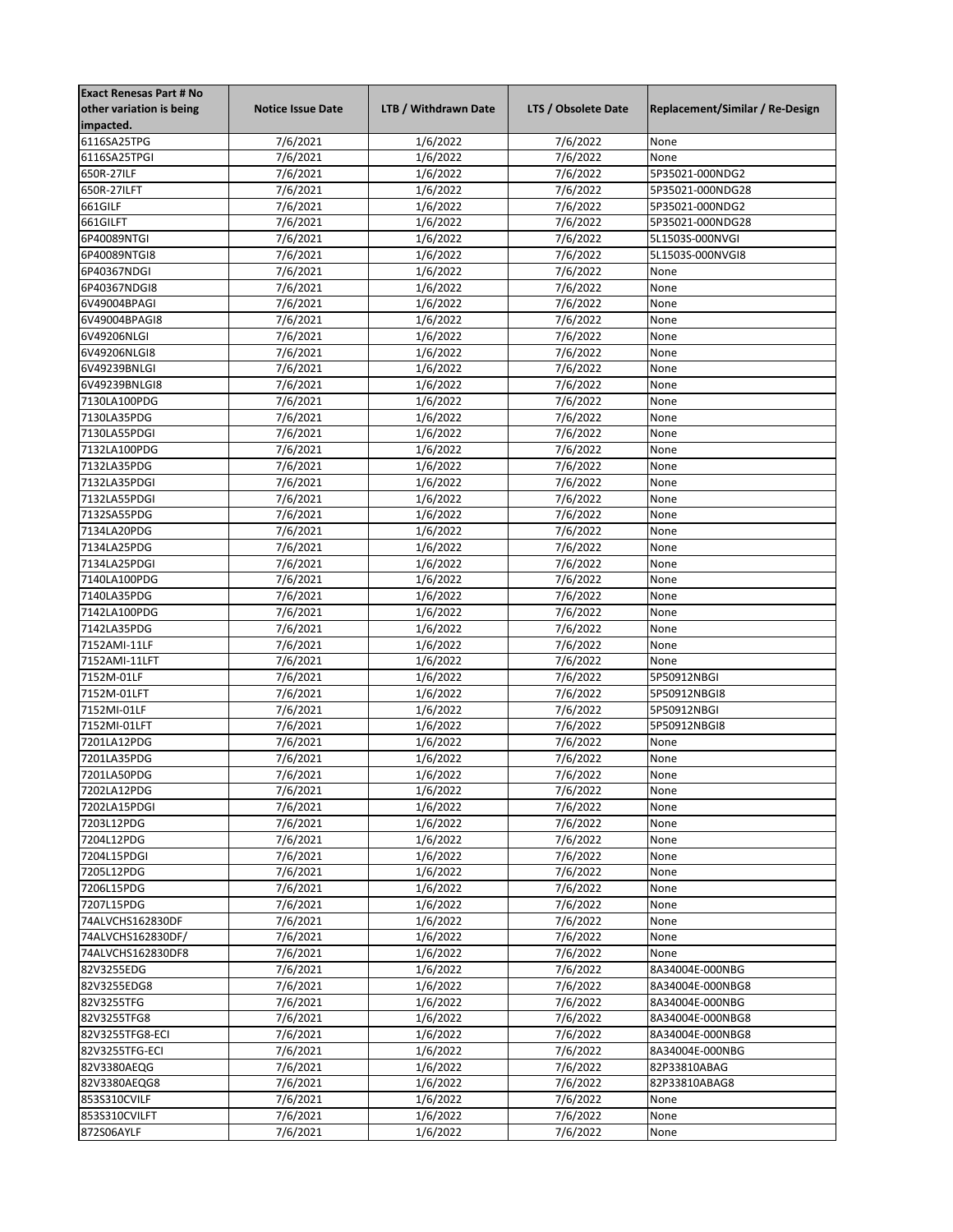| <b>Exact Renesas Part # No</b> |                          |                      |                     |                                 |
|--------------------------------|--------------------------|----------------------|---------------------|---------------------------------|
| other variation is being       | <b>Notice Issue Date</b> | LTB / Withdrawn Date | LTS / Obsolete Date | Replacement/Similar / Re-Design |
| impacted.                      |                          |                      |                     |                                 |
| 6116SA25TPG                    | 7/6/2021                 | 1/6/2022             | 7/6/2022            | None                            |
| 6116SA25TPGI                   | 7/6/2021                 | 1/6/2022             | 7/6/2022            | None                            |
| 650R-27ILF                     | 7/6/2021                 | 1/6/2022             | 7/6/2022            | 5P35021-000NDG2                 |
| 650R-27ILFT                    | 7/6/2021                 | 1/6/2022             | 7/6/2022            | 5P35021-000NDG28                |
| 661GILF                        | 7/6/2021                 | 1/6/2022             | 7/6/2022            | 5P35021-000NDG2                 |
| 661GILFT                       | 7/6/2021                 | 1/6/2022             | 7/6/2022            | 5P35021-000NDG28                |
| 6P40089NTGI                    | 7/6/2021                 | 1/6/2022             | 7/6/2022            | 5L1503S-000NVGI                 |
| 6P40089NTGI8                   | 7/6/2021                 | 1/6/2022             | 7/6/2022            | 5L1503S-000NVGI8                |
|                                |                          |                      |                     |                                 |
| 6P40367NDGI                    | 7/6/2021                 | 1/6/2022             | 7/6/2022            | None                            |
| 6P40367NDGI8                   | 7/6/2021                 | 1/6/2022             | 7/6/2022            | None                            |
| 6V49004BPAGI                   | 7/6/2021                 | 1/6/2022             | 7/6/2022            | None                            |
| 6V49004BPAGI8                  | 7/6/2021                 | 1/6/2022             | 7/6/2022            | None                            |
| 6V49206NLGI                    | 7/6/2021                 | 1/6/2022             | 7/6/2022            | None                            |
| 6V49206NLGI8                   | 7/6/2021                 | 1/6/2022             | 7/6/2022            | None                            |
| 6V49239BNLGI                   | 7/6/2021                 | 1/6/2022             | 7/6/2022            | None                            |
| 6V49239BNLGI8                  | 7/6/2021                 | 1/6/2022             | 7/6/2022            | None                            |
| 7130LA100PDG                   | 7/6/2021                 | 1/6/2022             | 7/6/2022            | None                            |
| 7130LA35PDG                    | 7/6/2021                 | 1/6/2022             | 7/6/2022            | None                            |
| 7130LA55PDGI                   | 7/6/2021                 | 1/6/2022             | 7/6/2022            | None                            |
| 7132LA100PDG                   | 7/6/2021                 | 1/6/2022             | 7/6/2022            | None                            |
| 7132LA35PDG                    | 7/6/2021                 | 1/6/2022             | 7/6/2022            | None                            |
| 7132LA35PDGI                   | 7/6/2021                 | 1/6/2022             | 7/6/2022            | None                            |
| 7132LA55PDGI                   | 7/6/2021                 | 1/6/2022             | 7/6/2022            | None                            |
| 7132SA55PDG                    | 7/6/2021                 | 1/6/2022             | 7/6/2022            | None                            |
|                                |                          |                      |                     |                                 |
| 7134LA20PDG                    | 7/6/2021                 | 1/6/2022             | 7/6/2022            | None                            |
| 7134LA25PDG                    | 7/6/2021                 | 1/6/2022             | 7/6/2022            | None                            |
| 7134LA25PDGI                   | 7/6/2021                 | 1/6/2022             | 7/6/2022            | None                            |
| 7140LA100PDG                   | 7/6/2021                 | 1/6/2022             | 7/6/2022            | None                            |
| 7140LA35PDG                    | 7/6/2021                 | 1/6/2022             | 7/6/2022            | None                            |
| 7142LA100PDG                   | 7/6/2021                 | 1/6/2022             | 7/6/2022            | None                            |
| 7142LA35PDG                    | 7/6/2021                 | 1/6/2022             | 7/6/2022            | None                            |
| 7152AMI-11LF                   | 7/6/2021                 | 1/6/2022             | 7/6/2022            | None                            |
| 7152AMI-11LFT                  | 7/6/2021                 | 1/6/2022             | 7/6/2022            | None                            |
| 7152M-01LF                     | $\frac{1}{7}{6}/2021$    | 1/6/2022             | 7/6/2022            | 5P50912NBGI                     |
| 7152M-01LFT                    | 7/6/2021                 | 1/6/2022             | 7/6/2022            | 5P50912NBGI8                    |
| 7152MI-01LF                    | 7/6/2021                 | 1/6/2022             | 7/6/2022            | 5P50912NBGI                     |
| 7152MI-01LFT                   | 7/6/2021                 | 1/6/2022             | 7/6/2022            | 5P50912NBGI8                    |
| 7201LA12PDG                    | 7/6/2021                 | 1/6/2022             | 7/6/2022            | None                            |
|                                |                          |                      |                     | None                            |
| 7201LA35PDG                    | 7/6/2021                 | 1/6/2022             | 7/6/2022            |                                 |
| 7201LA50PDG                    | 7/6/2021                 | 1/6/2022             | 7/6/2022            | None                            |
| 7202LA12PDG                    | 7/6/2021                 | 1/6/2022             | 7/6/2022            | None                            |
| 7202LA15PDGI                   | 7/6/2021                 | 1/6/2022             | 7/6/2022            | None                            |
| 7203L12PDG                     | 7/6/2021                 | 1/6/2022             | 7/6/2022            | None                            |
| 7204L12PDG                     | 7/6/2021                 | 1/6/2022             | 7/6/2022            | None                            |
| 7204L15PDGI                    | 7/6/2021                 | 1/6/2022             | 7/6/2022            | None                            |
| 7205L12PDG                     | 7/6/2021                 | 1/6/2022             | 7/6/2022            | None                            |
| 7206L15PDG                     | 7/6/2021                 | 1/6/2022             | 7/6/2022            | None                            |
| 7207L15PDG                     | 7/6/2021                 | 1/6/2022             | 7/6/2022            | None                            |
| 74ALVCHS162830DF               | 7/6/2021                 | 1/6/2022             | 7/6/2022            | None                            |
| 74ALVCHS162830DF/              | 7/6/2021                 | 1/6/2022             | 7/6/2022            | None                            |
| 74ALVCHS162830DF8              | 7/6/2021                 | 1/6/2022             | 7/6/2022            | None                            |
| 82V3255EDG                     | 7/6/2021                 | 1/6/2022             | 7/6/2022            | 8A34004E-000NBG                 |
| 82V3255EDG8                    | 7/6/2021                 | 1/6/2022             | 7/6/2022            | 8A34004E-000NBG8                |
| 82V3255TFG                     | 7/6/2021                 | 1/6/2022             | 7/6/2022            | 8A34004E-000NBG                 |
|                                |                          |                      |                     |                                 |
| 82V3255TFG8                    | 7/6/2021                 | 1/6/2022             | 7/6/2022            | 8A34004E-000NBG8                |
| 82V3255TFG8-ECI                | 7/6/2021                 | 1/6/2022             | 7/6/2022            | 8A34004E-000NBG8                |
| 82V3255TFG-ECI                 | 7/6/2021                 | 1/6/2022             | 7/6/2022            | 8A34004E-000NBG                 |
| 82V3380AEQG                    | 7/6/2021                 | 1/6/2022             | 7/6/2022            | 82P33810ABAG                    |
| 82V3380AEQG8                   | 7/6/2021                 | 1/6/2022             | 7/6/2022            | 82P33810ABAG8                   |
| 853S310CVILF                   | 7/6/2021                 | 1/6/2022             | 7/6/2022            | None                            |
| 853S310CVILFT                  | 7/6/2021                 | 1/6/2022             | 7/6/2022            | None                            |
| 872S06AYLF                     | 7/6/2021                 | 1/6/2022             | 7/6/2022            | None                            |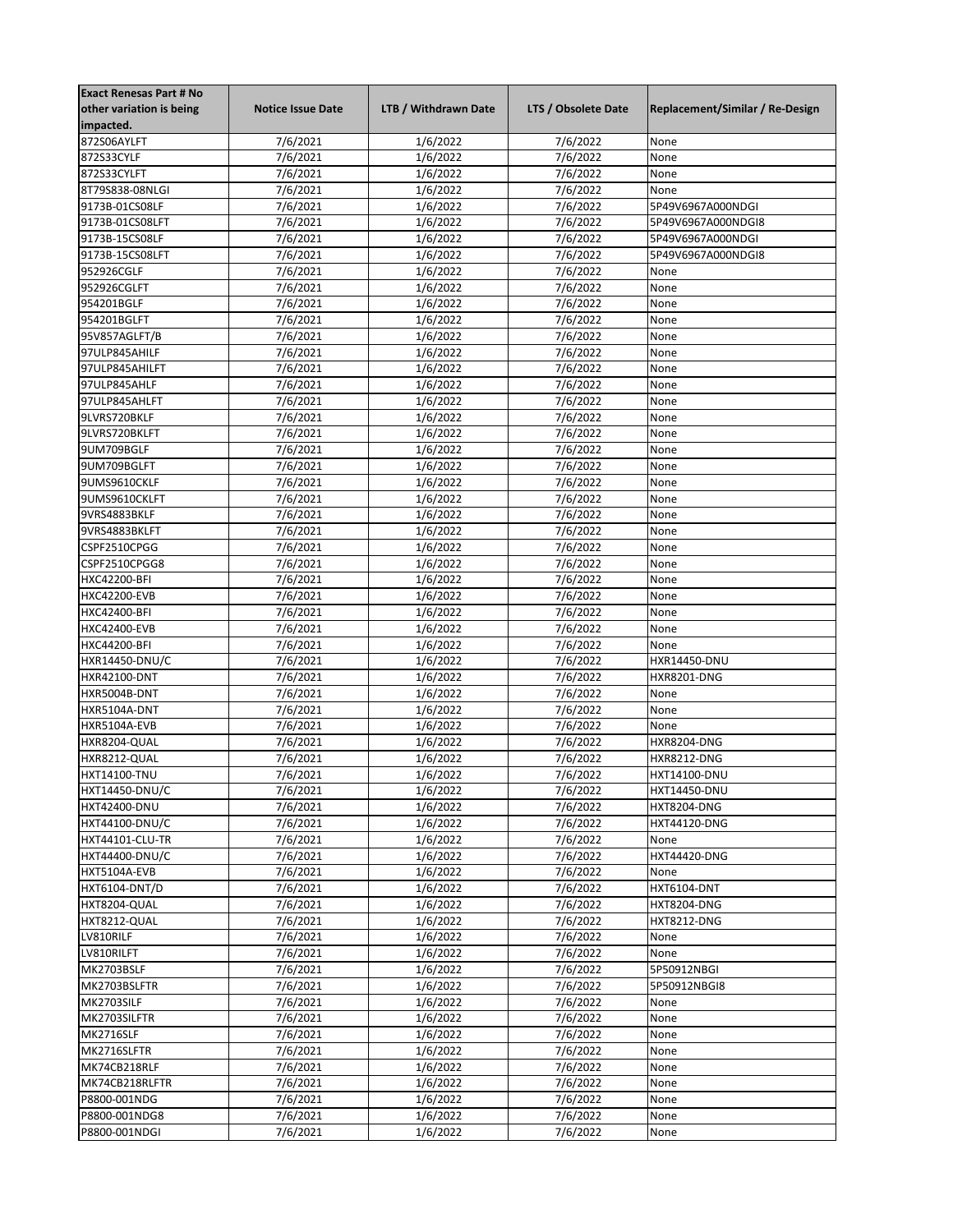| <b>Exact Renesas Part # No</b> |                          |                      |                     |                                 |
|--------------------------------|--------------------------|----------------------|---------------------|---------------------------------|
| other variation is being       | <b>Notice Issue Date</b> | LTB / Withdrawn Date | LTS / Obsolete Date | Replacement/Similar / Re-Design |
| impacted.                      |                          |                      |                     |                                 |
| 872S06AYLFT                    | 7/6/2021                 | 1/6/2022             | 7/6/2022            | None                            |
| 872S33CYLF                     | 7/6/2021                 | 1/6/2022             | 7/6/2022            | None                            |
| 872S33CYLFT                    | 7/6/2021                 | 1/6/2022             | 7/6/2022            | None                            |
| 8T79S838-08NLGI                | 7/6/2021                 | 1/6/2022             | 7/6/2022            | None                            |
| 9173B-01CS08LF                 | 7/6/2021                 | 1/6/2022             | 7/6/2022            | 5P49V6967A000NDGI               |
| 9173B-01CS08LFT                | 7/6/2021                 | 1/6/2022             | 7/6/2022            | 5P49V6967A000NDGI8              |
| 9173B-15CS08LF                 | 7/6/2021                 | 1/6/2022             | 7/6/2022            | 5P49V6967A000NDGI               |
| 9173B-15CS08LFT                | 7/6/2021                 | 1/6/2022             | 7/6/2022            | 5P49V6967A000NDGI8              |
|                                |                          |                      | 7/6/2022            |                                 |
| 952926CGLF                     | 7/6/2021                 | 1/6/2022             |                     | None                            |
| 952926CGLFT                    | 7/6/2021                 | 1/6/2022             | 7/6/2022            | None                            |
| 954201BGLF                     | 7/6/2021                 | 1/6/2022             | 7/6/2022            | None                            |
| 954201BGLFT                    | 7/6/2021                 | 1/6/2022             | 7/6/2022            | None                            |
| 95V857AGLFT/B                  | 7/6/2021                 | 1/6/2022             | 7/6/2022            | None                            |
| 97ULP845AHILF                  | 7/6/2021                 | 1/6/2022             | 7/6/2022            | None                            |
| 97ULP845AHILFT                 | 7/6/2021                 | 1/6/2022             | 7/6/2022            | None                            |
| 97ULP845AHLF                   | 7/6/2021                 | 1/6/2022             | 7/6/2022            | None                            |
| 97ULP845AHLFT                  | 7/6/2021                 | 1/6/2022             | 7/6/2022            | None                            |
| 9LVRS720BKLF                   | 7/6/2021                 | 1/6/2022             | 7/6/2022            | None                            |
| 9LVRS720BKLFT                  | 7/6/2021                 | 1/6/2022             | 7/6/2022            | None                            |
| 9UM709BGLF                     | 7/6/2021                 | 1/6/2022             | 7/6/2022            | None                            |
| 9UM709BGLFT                    | 7/6/2021                 | 1/6/2022             | 7/6/2022            | None                            |
| 9UMS9610CKLF                   | 7/6/2021                 | 1/6/2022             | 7/6/2022            | None                            |
| 9UMS9610CKLFT                  | 7/6/2021                 | 1/6/2022             | 7/6/2022            | None                            |
| 9VRS4883BKLF                   | 7/6/2021                 | 1/6/2022             | 7/6/2022            | None                            |
| 9VRS4883BKLFT                  | 7/6/2021                 | 1/6/2022             | 7/6/2022            | None                            |
| CSPF2510CPGG                   | 7/6/2021                 | 1/6/2022             | 7/6/2022            | None                            |
| CSPF2510CPGG8                  | 7/6/2021                 | 1/6/2022             | 7/6/2022            | None                            |
| <b>HXC42200-BFI</b>            | 7/6/2021                 | 1/6/2022             | 7/6/2022            | None                            |
| <b>HXC42200-EVB</b>            | 7/6/2021                 | 1/6/2022             | 7/6/2022            | None                            |
| HXC42400-BFI                   | 7/6/2021                 | 1/6/2022             | 7/6/2022            | None                            |
| <b>HXC42400-EVB</b>            | 7/6/2021                 | 1/6/2022             | 7/6/2022            | None                            |
| HXC44200-BFI                   | 7/6/2021                 | 1/6/2022             | 7/6/2022            | None                            |
|                                |                          |                      |                     |                                 |
| HXR14450-DNU/C                 | 7/6/2021                 | 1/6/2022             | 7/6/2022            | HXR14450-DNU                    |
| HXR42100-DNT                   | 7/6/2021                 | 1/6/2022             | 7/6/2022            | <b>HXR8201-DNG</b>              |
| HXR5004B-DNT                   | 7/6/2021                 | 1/6/2022             | 7/6/2022            | None                            |
| HXR5104A-DNT                   | 7/6/2021                 | 1/6/2022             | 7/6/2022            | None                            |
| HXR5104A-EVB                   | 7/6/2021                 | 1/6/2022             | 7/6/2022            | None                            |
| HXR8204-QUAL                   | 7/6/2021                 | 1/6/2022             | 7/6/2022            | <b>HXR8204-DNG</b>              |
| HXR8212-QUAL                   | 7/6/2021                 | 1/6/2022             | 7/6/2022            | <b>HXR8212-DNG</b>              |
| <b>HXT14100-TNU</b>            | 7/6/2021                 | 1/6/2022             | 7/6/2022            | HXT14100-DNU                    |
| <b>HXT14450-DNU/C</b>          | 7/6/2021                 | 1/6/2022             | 7/6/2022            | HXT14450-DNU                    |
| <b>HXT42400-DNU</b>            | 7/6/2021                 | 1/6/2022             | 7/6/2022            | <b>HXT8204-DNG</b>              |
| <b>HXT44100-DNU/C</b>          | 7/6/2021                 | 1/6/2022             | 7/6/2022            | <b>HXT44120-DNG</b>             |
| HXT44101-CLU-TR                | 7/6/2021                 | 1/6/2022             | 7/6/2022            | None                            |
| <b>HXT44400-DNU/C</b>          | 7/6/2021                 | 1/6/2022             | 7/6/2022            | <b>HXT44420-DNG</b>             |
| HXT5104A-EVB                   | 7/6/2021                 | 1/6/2022             | 7/6/2022            | None                            |
| HXT6104-DNT/D                  | 7/6/2021                 | 1/6/2022             | 7/6/2022            | HXT6104-DNT                     |
| HXT8204-QUAL                   | 7/6/2021                 | 1/6/2022             | 7/6/2022            | <b>HXT8204-DNG</b>              |
| HXT8212-QUAL                   | 7/6/2021                 | 1/6/2022             | 7/6/2022            | <b>HXT8212-DNG</b>              |
| LV810RILF                      | 7/6/2021                 | 1/6/2022             | 7/6/2022            | None                            |
| LV810RILFT                     | 7/6/2021                 | 1/6/2022             | 7/6/2022            | None                            |
| MK2703BSLF                     | 7/6/2021                 | 1/6/2022             | 7/6/2022            | 5P50912NBGI                     |
| MK2703BSLFTR                   | 7/6/2021                 | 1/6/2022             | 7/6/2022            | 5P50912NBGI8                    |
|                                |                          |                      |                     |                                 |
| MK2703SILF                     | 7/6/2021                 | 1/6/2022             | 7/6/2022            | None                            |
| MK2703SILFTR                   | 7/6/2021                 | 1/6/2022             | 7/6/2022            | None                            |
| MK2716SLF                      | 7/6/2021                 | 1/6/2022             | 7/6/2022            | None                            |
| MK2716SLFTR                    | 7/6/2021                 | 1/6/2022             | 7/6/2022            | None                            |
| MK74CB218RLF                   | 7/6/2021                 | 1/6/2022             | 7/6/2022            | None                            |
| MK74CB218RLFTR                 | 7/6/2021                 | 1/6/2022             | 7/6/2022            | None                            |
| P8800-001NDG                   | 7/6/2021                 | 1/6/2022             | 7/6/2022            | None                            |
| P8800-001NDG8                  | 7/6/2021                 | 1/6/2022             | 7/6/2022            | None                            |
| P8800-001NDGI                  | 7/6/2021                 | 1/6/2022             | 7/6/2022            | None                            |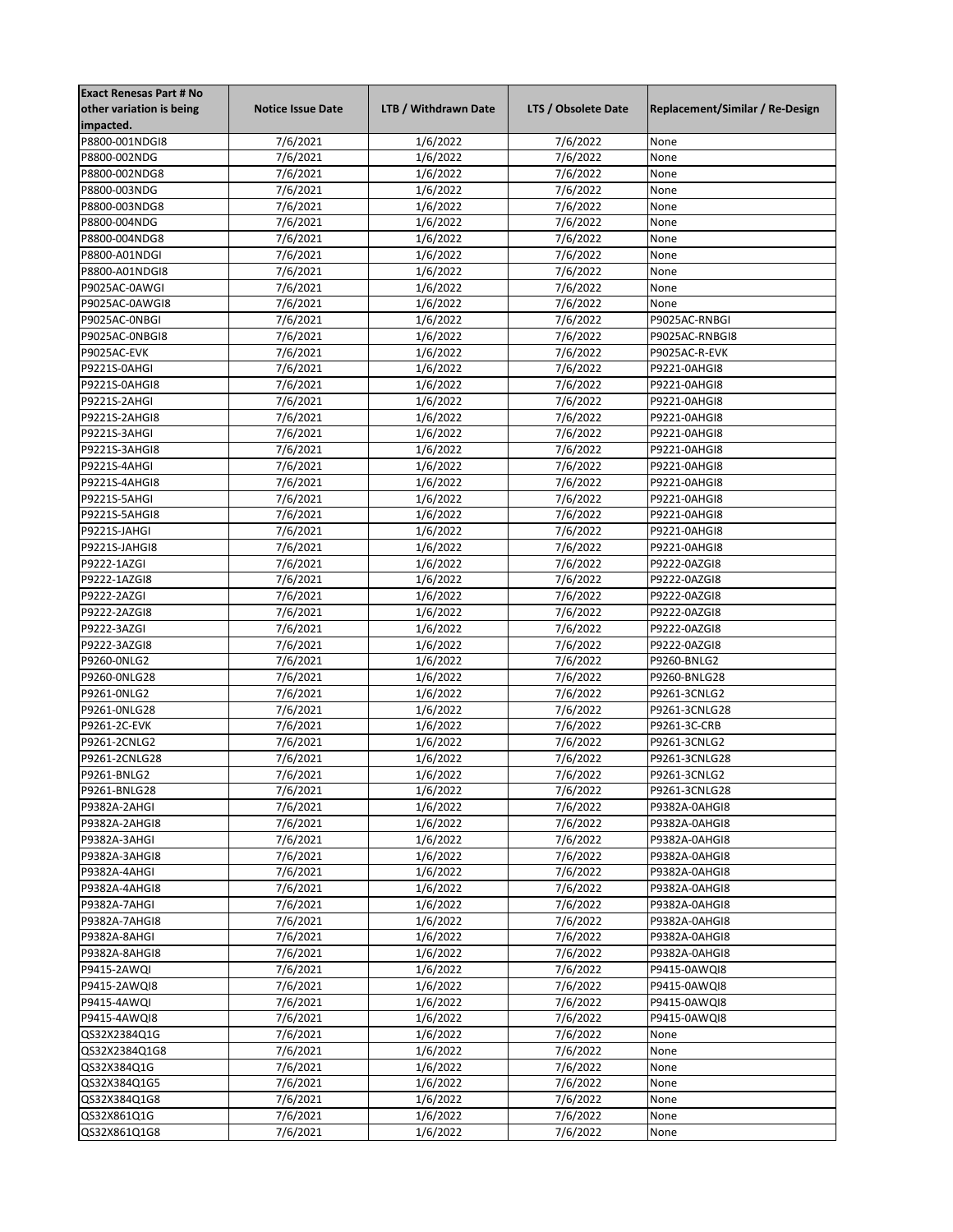| <b>Exact Renesas Part # No</b> |                          |                      |                     |                                 |
|--------------------------------|--------------------------|----------------------|---------------------|---------------------------------|
| other variation is being       | <b>Notice Issue Date</b> | LTB / Withdrawn Date | LTS / Obsolete Date | Replacement/Similar / Re-Design |
| impacted.                      |                          |                      |                     |                                 |
| P8800-001NDGI8                 | 7/6/2021                 | 1/6/2022             | 7/6/2022            | None                            |
| P8800-002NDG                   | 7/6/2021                 | 1/6/2022             | 7/6/2022            | None                            |
| P8800-002NDG8                  | 7/6/2021                 | 1/6/2022             | 7/6/2022            | None                            |
| P8800-003NDG                   | 7/6/2021                 | 1/6/2022             | 7/6/2022            | None                            |
| P8800-003NDG8                  | 7/6/2021                 | 1/6/2022             | 7/6/2022            | None                            |
| P8800-004NDG                   | 7/6/2021                 | 1/6/2022             | 7/6/2022            | None                            |
| P8800-004NDG8                  | $\frac{1}{7/6}$ /2021    | 1/6/2022             | 7/6/2022            | None                            |
| P8800-A01NDGI                  | 7/6/2021                 |                      | 7/6/2022            | None                            |
|                                |                          | 1/6/2022             |                     |                                 |
| P8800-A01NDGI8                 | 7/6/2021                 | 1/6/2022             | 7/6/2022            | None                            |
| P9025AC-0AWGI                  | 7/6/2021                 | 1/6/2022             | 7/6/2022            | None                            |
| P9025AC-0AWGI8                 | 7/6/2021                 | 1/6/2022             | 7/6/2022            | None                            |
| P9025AC-ONBGI                  | 7/6/2021                 | 1/6/2022             | 7/6/2022            | P9025AC-RNBGI                   |
| P9025AC-ONBGI8                 | 7/6/2021                 | 1/6/2022             | 7/6/2022            | P9025AC-RNBGI8                  |
| P9025AC-EVK                    | 7/6/2021                 | 1/6/2022             | 7/6/2022            | P9025AC-R-EVK                   |
| P9221S-0AHGI                   | 7/6/2021                 | 1/6/2022             | 7/6/2022            | P9221-0AHGI8                    |
| P9221S-0AHGI8                  | 7/6/2021                 | 1/6/2022             | 7/6/2022            | P9221-0AHGI8                    |
| P9221S-2AHGI                   | 7/6/2021                 | 1/6/2022             | 7/6/2022            | P9221-0AHGI8                    |
| P9221S-2AHGI8                  | 7/6/2021                 | 1/6/2022             | 7/6/2022            | P9221-0AHGI8                    |
| P9221S-3AHGI                   | 7/6/2021                 | 1/6/2022             | 7/6/2022            | P9221-0AHGI8                    |
| P9221S-3AHGI8                  | 7/6/2021                 | 1/6/2022             | 7/6/2022            | P9221-0AHGI8                    |
| P9221S-4AHGI                   | 7/6/2021                 | 1/6/2022             | 7/6/2022            | P9221-0AHGI8                    |
| P9221S-4AHGI8                  | 7/6/2021                 | 1/6/2022             | 7/6/2022            | P9221-0AHGI8                    |
| P9221S-5AHGI                   | 7/6/2021                 | 1/6/2022             | 7/6/2022            | P9221-0AHGI8                    |
|                                |                          |                      |                     |                                 |
| P9221S-5AHGI8                  | 7/6/2021                 | 1/6/2022             | 7/6/2022            | P9221-0AHGI8                    |
| P9221S-JAHGI                   | 7/6/2021                 | 1/6/2022             | 7/6/2022            | P9221-0AHGI8                    |
| P9221S-JAHGI8                  | $\frac{1}{7}{6}/2021$    | 1/6/2022             | 7/6/2022            | P9221-0AHGI8                    |
| P9222-1AZGI                    | 7/6/2021                 | 1/6/2022             | 7/6/2022            | P9222-0AZGI8                    |
| P9222-1AZGI8                   | 7/6/2021                 | 1/6/2022             | 7/6/2022            | P9222-0AZGI8                    |
| P9222-2AZGI                    | 7/6/2021                 | 1/6/2022             | 7/6/2022            | P9222-0AZGI8                    |
| P9222-2AZGI8                   | 7/6/2021                 | $\frac{1}{6}$ /2022  | 7/6/2022            | P9222-0AZGI8                    |
| P9222-3AZGI                    | 7/6/2021                 | 1/6/2022             | 7/6/2022            | P9222-0AZGI8                    |
| P9222-3AZGI8                   | 7/6/2021                 | 1/6/2022             | 7/6/2022            | P9222-0AZGI8                    |
| P9260-0NLG2                    | 7/6/2021                 | $\frac{1}{6}$ /2022  | 7/6/2022            | P9260-BNLG2                     |
| P9260-0NLG28                   | 7/6/2021                 | 1/6/2022             | 7/6/2022            | P9260-BNLG28                    |
| P9261-0NLG2                    | 7/6/2021                 | 1/6/2022             | 7/6/2022            | P9261-3CNLG2                    |
| P9261-0NLG28                   | 7/6/2021                 | 1/6/2022             | 7/6/2022            | P9261-3CNLG28                   |
| P9261-2C-EVK                   | 7/6/2021                 | 1/6/2022             | 7/6/2022            | P9261-3C-CRB                    |
| P9261-2CNLG2                   | 7/6/2021                 | 1/6/2022             | 7/6/2022            | P9261-3CNLG2                    |
| P9261-2CNLG28                  | 7/6/2021                 | 1/6/2022             | 7/6/2022            | P9261-3CNLG28                   |
| P9261-BNLG2                    | 7/6/2021                 | 1/6/2022             | 7/6/2022            | P9261-3CNLG2                    |
|                                |                          |                      |                     |                                 |
| P9261-BNLG28                   | 7/6/2021                 | 1/6/2022             | 7/6/2022            | P9261-3CNLG28                   |
| P9382A-2AHGI                   | 7/6/2021                 | 1/6/2022             | 7/6/2022            | P9382A-0AHGI8                   |
| P9382A-2AHGI8                  | 7/6/2021                 | 1/6/2022             | 7/6/2022            | P9382A-0AHGI8                   |
| P9382A-3AHGI                   | 7/6/2021                 | 1/6/2022             | 7/6/2022            | P9382A-0AHGI8                   |
| P9382A-3AHGI8                  | 7/6/2021                 | 1/6/2022             | 7/6/2022            | P9382A-0AHGI8                   |
| P9382A-4AHGI                   | 7/6/2021                 | 1/6/2022             | 7/6/2022            | P9382A-0AHGI8                   |
| P9382A-4AHGI8                  | 7/6/2021                 | 1/6/2022             | 7/6/2022            | P9382A-0AHGI8                   |
| P9382A-7AHGI                   | 7/6/2021                 | 1/6/2022             | 7/6/2022            | P9382A-0AHGI8                   |
| P9382A-7AHGI8                  | 7/6/2021                 | 1/6/2022             | 7/6/2022            | P9382A-0AHGI8                   |
| P9382A-8AHGI                   | 7/6/2021                 | 1/6/2022             | 7/6/2022            | P9382A-0AHGI8                   |
| P9382A-8AHGI8                  | 7/6/2021                 | 1/6/2022             | 7/6/2022            | P9382A-0AHGI8                   |
| P9415-2AWQI                    | 7/6/2021                 | 1/6/2022             | 7/6/2022            | P9415-0AWQI8                    |
| P9415-2AWQI8                   | 7/6/2021                 | 1/6/2022             | 7/6/2022            | P9415-0AWQI8                    |
| P9415-4AWQI                    | 7/6/2021                 | 1/6/2022             | 7/6/2022            | P9415-0AWQI8                    |
| P9415-4AWQI8                   | 7/6/2021                 | 1/6/2022             | 7/6/2022            | P9415-0AWQI8                    |
| QS32X2384Q1G                   | 7/6/2021                 | 1/6/2022             | 7/6/2022            | None                            |
| QS32X2384Q1G8                  | 7/6/2021                 | 1/6/2022             | 7/6/2022            | None                            |
|                                |                          |                      |                     |                                 |
| QS32X384Q1G                    | 7/6/2021                 | 1/6/2022             | 7/6/2022            | None                            |
| QS32X384Q1G5                   | 7/6/2021                 | 1/6/2022             | 7/6/2022            | None                            |
| QS32X384Q1G8                   | 7/6/2021                 | 1/6/2022             | 7/6/2022            | None                            |
| QS32X861Q1G                    | 7/6/2021                 | 1/6/2022             | 7/6/2022            | None                            |
| QS32X861Q1G8                   | 7/6/2021                 | 1/6/2022             | 7/6/2022            | None                            |